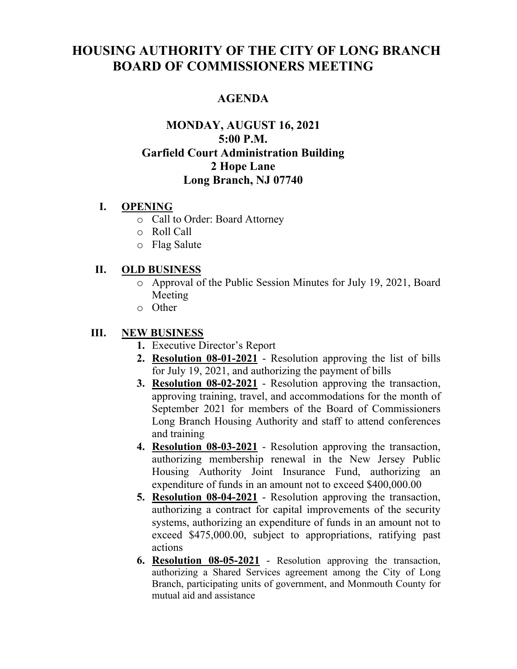# **HOUSING AUTHORITY OF THE CITY OF LONG BRANCH BOARD OF COMMISSIONERS MEETING**

## **AGENDA**

## **MONDAY, AUGUST 16, 2021 5:00 P.M. Garfield Court Administration Building 2 Hope Lane Long Branch, NJ 07740**

#### **I. OPENING**

- o Call to Order: Board Attorney
- o Roll Call
- o Flag Salute

#### **II. OLD BUSINESS**

- o Approval of the Public Session Minutes for July 19, 2021, Board Meeting
- o Other

## **III. NEW BUSINESS**

- **1.** Executive Director's Report
- **2. Resolution 08-01-2021** Resolution approving the list of bills for July 19, 2021, and authorizing the payment of bills
- **3. Resolution 08-02-2021** Resolution approving the transaction, approving training, travel, and accommodations for the month of September 2021 for members of the Board of Commissioners Long Branch Housing Authority and staff to attend conferences and training
- **4. Resolution 08-03-2021** Resolution approving the transaction, authorizing membership renewal in the New Jersey Public Housing Authority Joint Insurance Fund, authorizing an expenditure of funds in an amount not to exceed \$400,000.00
- **5. Resolution 08-04-2021** Resolution approving the transaction, authorizing a contract for capital improvements of the security systems, authorizing an expenditure of funds in an amount not to exceed \$475,000.00, subject to appropriations, ratifying past actions
- **6. Resolution 08-05-2021** Resolution approving the transaction, authorizing a Shared Services agreement among the City of Long Branch, participating units of government, and Monmouth County for mutual aid and assistance